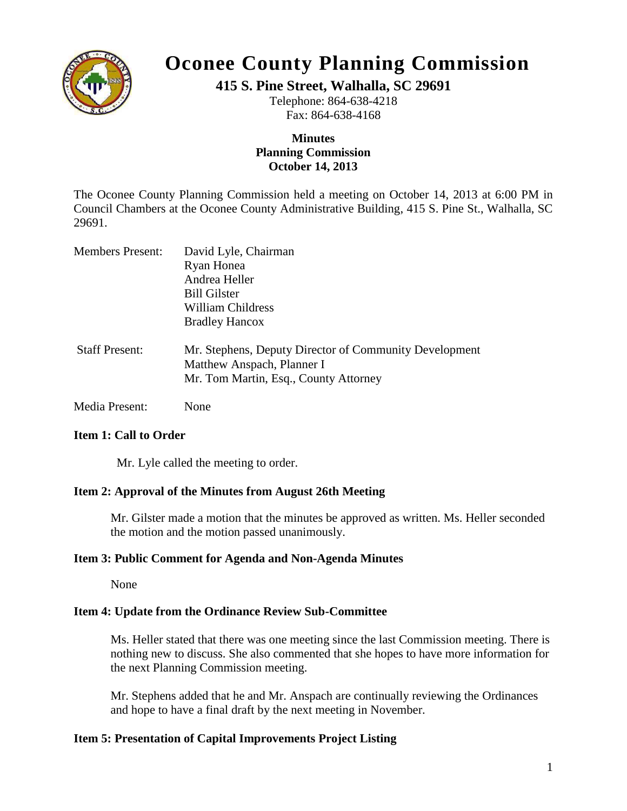

# **Oconee County Planning Commission**

**415 S. Pine Street, Walhalla, SC 29691**

Telephone: 864-638-4218 Fax: 864-638-4168

# **Minutes Planning Commission October 14, 2013**

The Oconee County Planning Commission held a meeting on October 14, 2013 at 6:00 PM in Council Chambers at the Oconee County Administrative Building, 415 S. Pine St., Walhalla, SC 29691.

| <b>Members Present:</b> | David Lyle, Chairman                                                                 |
|-------------------------|--------------------------------------------------------------------------------------|
|                         | Ryan Honea                                                                           |
|                         | Andrea Heller                                                                        |
|                         | <b>Bill Gilster</b>                                                                  |
|                         | William Childress                                                                    |
|                         | <b>Bradley Hancox</b>                                                                |
| <b>Staff Present:</b>   | Mr. Stephens, Deputy Director of Community Development<br>Matthew Anspach, Planner I |
|                         | Mr. Tom Martin, Esq., County Attorney                                                |

Media Present: None

# **Item 1: Call to Order**

Mr. Lyle called the meeting to order.

# **Item 2: Approval of the Minutes from August 26th Meeting**

Mr. Gilster made a motion that the minutes be approved as written. Ms. Heller seconded the motion and the motion passed unanimously.

# **Item 3: Public Comment for Agenda and Non-Agenda Minutes**

None

# **Item 4: Update from the Ordinance Review Sub-Committee**

Ms. Heller stated that there was one meeting since the last Commission meeting. There is nothing new to discuss. She also commented that she hopes to have more information for the next Planning Commission meeting.

Mr. Stephens added that he and Mr. Anspach are continually reviewing the Ordinances and hope to have a final draft by the next meeting in November.

# **Item 5: Presentation of Capital Improvements Project Listing**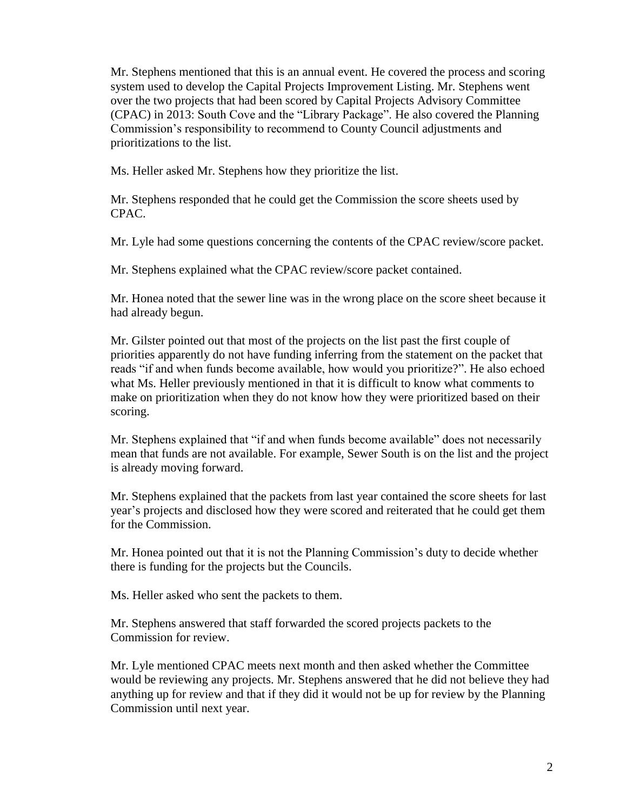Mr. Stephens mentioned that this is an annual event. He covered the process and scoring system used to develop the Capital Projects Improvement Listing. Mr. Stephens went over the two projects that had been scored by Capital Projects Advisory Committee (CPAC) in 2013: South Cove and the "Library Package". He also covered the Planning Commission's responsibility to recommend to County Council adjustments and prioritizations to the list.

Ms. Heller asked Mr. Stephens how they prioritize the list.

Mr. Stephens responded that he could get the Commission the score sheets used by CPAC.

Mr. Lyle had some questions concerning the contents of the CPAC review/score packet.

Mr. Stephens explained what the CPAC review/score packet contained.

Mr. Honea noted that the sewer line was in the wrong place on the score sheet because it had already begun.

Mr. Gilster pointed out that most of the projects on the list past the first couple of priorities apparently do not have funding inferring from the statement on the packet that reads "if and when funds become available, how would you prioritize?". He also echoed what Ms. Heller previously mentioned in that it is difficult to know what comments to make on prioritization when they do not know how they were prioritized based on their scoring.

Mr. Stephens explained that "if and when funds become available" does not necessarily mean that funds are not available. For example, Sewer South is on the list and the project is already moving forward.

Mr. Stephens explained that the packets from last year contained the score sheets for last year's projects and disclosed how they were scored and reiterated that he could get them for the Commission.

Mr. Honea pointed out that it is not the Planning Commission's duty to decide whether there is funding for the projects but the Councils.

Ms. Heller asked who sent the packets to them.

Mr. Stephens answered that staff forwarded the scored projects packets to the Commission for review.

Mr. Lyle mentioned CPAC meets next month and then asked whether the Committee would be reviewing any projects. Mr. Stephens answered that he did not believe they had anything up for review and that if they did it would not be up for review by the Planning Commission until next year.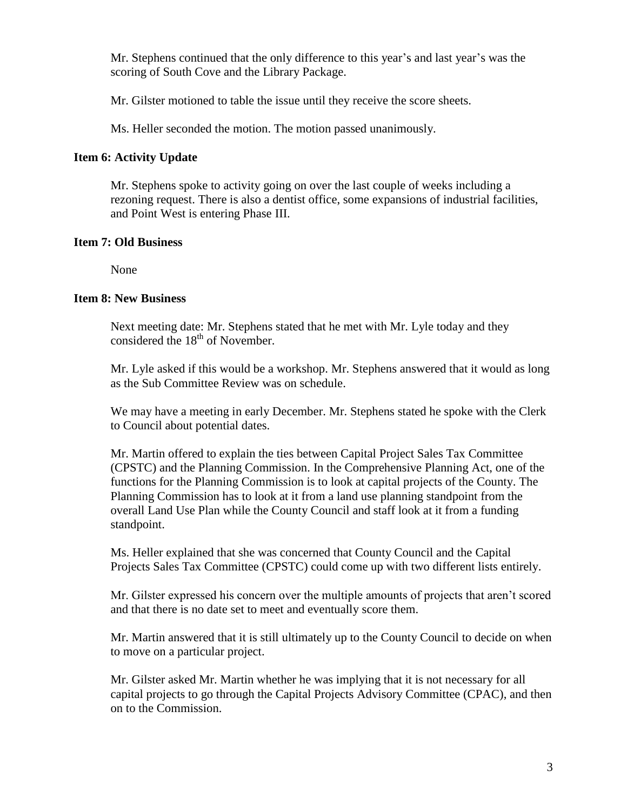Mr. Stephens continued that the only difference to this year's and last year's was the scoring of South Cove and the Library Package.

Mr. Gilster motioned to table the issue until they receive the score sheets.

Ms. Heller seconded the motion. The motion passed unanimously.

### **Item 6: Activity Update**

Mr. Stephens spoke to activity going on over the last couple of weeks including a rezoning request. There is also a dentist office, some expansions of industrial facilities, and Point West is entering Phase III.

#### **Item 7: Old Business**

None

#### **Item 8: New Business**

Next meeting date: Mr. Stephens stated that he met with Mr. Lyle today and they considered the  $18<sup>th</sup>$  of November.

Mr. Lyle asked if this would be a workshop. Mr. Stephens answered that it would as long as the Sub Committee Review was on schedule.

We may have a meeting in early December. Mr. Stephens stated he spoke with the Clerk to Council about potential dates.

Mr. Martin offered to explain the ties between Capital Project Sales Tax Committee (CPSTC) and the Planning Commission. In the Comprehensive Planning Act, one of the functions for the Planning Commission is to look at capital projects of the County. The Planning Commission has to look at it from a land use planning standpoint from the overall Land Use Plan while the County Council and staff look at it from a funding standpoint.

Ms. Heller explained that she was concerned that County Council and the Capital Projects Sales Tax Committee (CPSTC) could come up with two different lists entirely.

Mr. Gilster expressed his concern over the multiple amounts of projects that aren't scored and that there is no date set to meet and eventually score them.

Mr. Martin answered that it is still ultimately up to the County Council to decide on when to move on a particular project.

Mr. Gilster asked Mr. Martin whether he was implying that it is not necessary for all capital projects to go through the Capital Projects Advisory Committee (CPAC), and then on to the Commission.